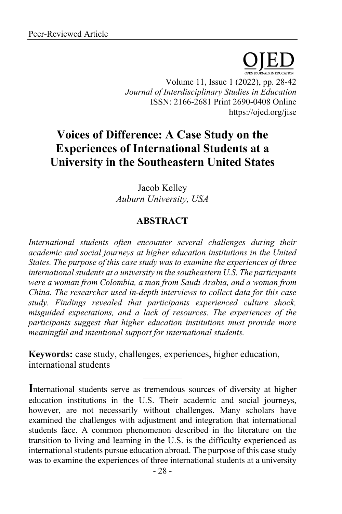

Volume 11, Issue 1 (2022), pp. 28-42 *Journal of Interdisciplinary Studies in Education* ISSN: 2166-2681 Print 2690-0408 Online https://ojed.org/jise

# **Voices of Difference: A Case Study on the Experiences of International Students at a University in the Southeastern United States**

Jacob Kelley *Auburn University, USA*

# **ABSTRACT**

*International students often encounter several challenges during their academic and social journeys at higher education institutions in the United States. The purpose of this case study was to examine the experiences of three international students at a university in the southeastern U.S. The participants were a woman from Colombia, a man from Saudi Arabia, and a woman from China. The researcher used in-depth interviews to collect data for this case study. Findings revealed that participants experienced culture shock, misguided expectations, and a lack of resources. The experiences of the participants suggest that higher education institutions must provide more meaningful and intentional support for international students.*

**Keywords:** case study, challenges, experiences, higher education, international students

**I**nternational students serve as tremendous sources of diversity at higher education institutions in the U.S. Their academic and social journeys, however, are not necessarily without challenges. Many scholars have examined the challenges with adjustment and integration that international students face. A common phenomenon described in the literature on the transition to living and learning in the U.S. is the difficulty experienced as international students pursue education abroad. The purpose of this case study was to examine the experiences of three international students at a university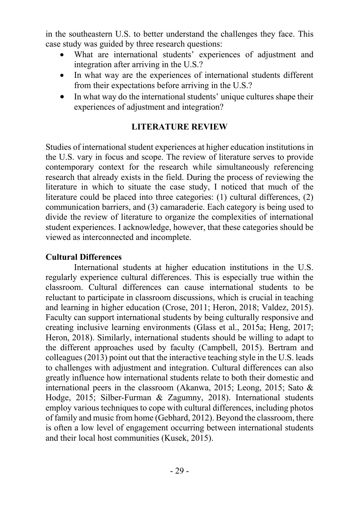in the southeastern U.S. to better understand the challenges they face. This case study was guided by three research questions:

- What are international students' experiences of adjustment and integration after arriving in the U.S.?
- In what way are the experiences of international students different from their expectations before arriving in the U.S.?
- In what way do the international students' unique cultures shape their experiences of adjustment and integration?

# **LITERATURE REVIEW**

Studies of international student experiences at higher education institutions in the U.S. vary in focus and scope. The review of literature serves to provide contemporary context for the research while simultaneously referencing research that already exists in the field. During the process of reviewing the literature in which to situate the case study, I noticed that much of the literature could be placed into three categories: (1) cultural differences, (2) communication barriers, and (3) camaraderie. Each category is being used to divide the review of literature to organize the complexities of international student experiences. I acknowledge, however, that these categories should be viewed as interconnected and incomplete.

## **Cultural Differences**

International students at higher education institutions in the U.S. regularly experience cultural differences. This is especially true within the classroom. Cultural differences can cause international students to be reluctant to participate in classroom discussions, which is crucial in teaching and learning in higher education (Crose, 2011; Heron, 2018; Valdez, 2015). Faculty can support international students by being culturally responsive and creating inclusive learning environments (Glass et al., 2015a; Heng, 2017; Heron, 2018). Similarly, international students should be willing to adapt to the different approaches used by faculty (Campbell, 2015). Bertram and colleagues (2013) point out that the interactive teaching style in the U.S. leads to challenges with adjustment and integration. Cultural differences can also greatly influence how international students relate to both their domestic and international peers in the classroom (Akanwa, 2015; Leong, 2015; Sato & Hodge, 2015; Silber-Furman & Zagumny, 2018). International students employ various techniques to cope with cultural differences, including photos of family and music from home (Gebhard, 2012). Beyond the classroom, there is often a low level of engagement occurring between international students and their local host communities (Kusek, 2015).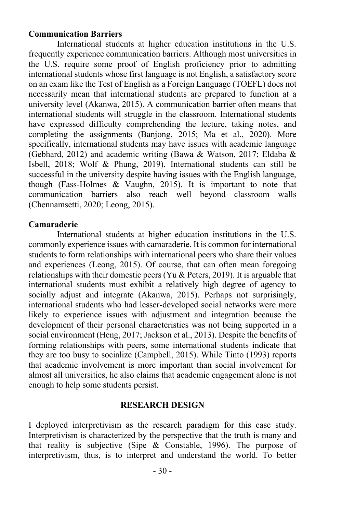### **Communication Barriers**

International students at higher education institutions in the U.S. frequently experience communication barriers. Although most universities in the U.S. require some proof of English proficiency prior to admitting international students whose first language is not English, a satisfactory score on an exam like the Test of English as a Foreign Language (TOEFL) does not necessarily mean that international students are prepared to function at a university level (Akanwa, 2015). A communication barrier often means that international students will struggle in the classroom. International students have expressed difficulty comprehending the lecture, taking notes, and completing the assignments (Banjong, 2015; Ma et al., 2020). More specifically, international students may have issues with academic language (Gebhard, 2012) and academic writing (Bawa & Watson, 2017; Eldaba & Isbell, 2018; Wolf & Phung, 2019). International students can still be successful in the university despite having issues with the English language, though (Fass-Holmes & Vaughn, 2015). It is important to note that communication barriers also reach well beyond classroom walls (Chennamsetti, 2020; Leong, 2015).

### **Camaraderie**

International students at higher education institutions in the U.S. commonly experience issues with camaraderie. It is common for international students to form relationships with international peers who share their values and experiences (Leong, 2015). Of course, that can often mean foregoing relationships with their domestic peers (Yu & Peters, 2019). It is arguable that international students must exhibit a relatively high degree of agency to socially adjust and integrate (Akanwa, 2015). Perhaps not surprisingly, international students who had lesser-developed social networks were more likely to experience issues with adjustment and integration because the development of their personal characteristics was not being supported in a social environment (Heng, 2017; Jackson et al., 2013). Despite the benefits of forming relationships with peers, some international students indicate that they are too busy to socialize (Campbell, 2015). While Tinto (1993) reports that academic involvement is more important than social involvement for almost all universities, he also claims that academic engagement alone is not enough to help some students persist.

#### **RESEARCH DESIGN**

I deployed interpretivism as the research paradigm for this case study. Interpretivism is characterized by the perspective that the truth is many and that reality is subjective (Sipe  $&$  Constable, 1996). The purpose of interpretivism, thus, is to interpret and understand the world. To better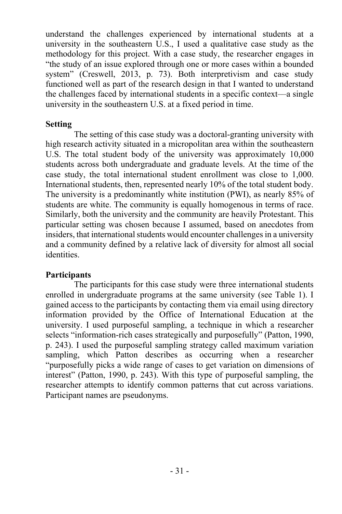understand the challenges experienced by international students at a university in the southeastern U.S., I used a qualitative case study as the methodology for this project. With a case study, the researcher engages in "the study of an issue explored through one or more cases within a bounded system" (Creswell, 2013, p. 73). Both interpretivism and case study functioned well as part of the research design in that I wanted to understand the challenges faced by international students in a specific context––a single university in the southeastern U.S. at a fixed period in time.

# **Setting**

The setting of this case study was a doctoral-granting university with high research activity situated in a micropolitan area within the southeastern U.S. The total student body of the university was approximately 10,000 students across both undergraduate and graduate levels. At the time of the case study, the total international student enrollment was close to 1,000. International students, then, represented nearly 10% of the total student body. The university is a predominantly white institution (PWI), as nearly 85% of students are white. The community is equally homogenous in terms of race. Similarly, both the university and the community are heavily Protestant. This particular setting was chosen because I assumed, based on anecdotes from insiders, that international students would encounter challenges in a university and a community defined by a relative lack of diversity for almost all social identities.

# **Participants**

The participants for this case study were three international students enrolled in undergraduate programs at the same university (see Table 1). I gained access to the participants by contacting them via email using directory information provided by the Office of International Education at the university. I used purposeful sampling, a technique in which a researcher selects "information-rich cases strategically and purposefully" (Patton, 1990, p. 243). I used the purposeful sampling strategy called maximum variation sampling, which Patton describes as occurring when a researcher "purposefully picks a wide range of cases to get variation on dimensions of interest" (Patton, 1990, p. 243). With this type of purposeful sampling, the researcher attempts to identify common patterns that cut across variations. Participant names are pseudonyms.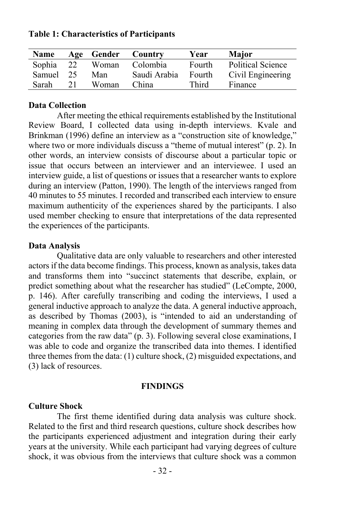| Name      |    | Age Gender | Country      | Year   | Major                    |
|-----------|----|------------|--------------|--------|--------------------------|
| Sophia 22 |    | Woman      | Colombia     | Fourth | <b>Political Science</b> |
| Samuel 25 |    | Man        | Saudi Arabia | Fourth | Civil Engineering        |
| Sarah     | 21 | Woman      | China        | Third  | Finance                  |

**Table 1: Characteristics of Participants**

### **Data Collection**

After meeting the ethical requirements established by the Institutional Review Board, I collected data using in-depth interviews. Kvale and Brinkman (1996) define an interview as a "construction site of knowledge," where two or more individuals discuss a "theme of mutual interest" (p. 2). In other words, an interview consists of discourse about a particular topic or issue that occurs between an interviewer and an interviewee. I used an interview guide, a list of questions or issues that a researcher wants to explore during an interview (Patton, 1990). The length of the interviews ranged from 40 minutes to 55 minutes. I recorded and transcribed each interview to ensure maximum authenticity of the experiences shared by the participants. I also used member checking to ensure that interpretations of the data represented the experiences of the participants.

#### **Data Analysis**

Qualitative data are only valuable to researchers and other interested actors if the data become findings. This process, known as analysis, takes data and transforms them into "succinct statements that describe, explain, or predict something about what the researcher has studied" (LeCompte, 2000, p. 146). After carefully transcribing and coding the interviews, I used a general inductive approach to analyze the data. A general inductive approach, as described by Thomas (2003), is "intended to aid an understanding of meaning in complex data through the development of summary themes and categories from the raw data" (p. 3). Following several close examinations, I was able to code and organize the transcribed data into themes. I identified three themes from the data: (1) culture shock, (2) misguided expectations, and (3) lack of resources.

#### **FINDINGS**

#### **Culture Shock**

The first theme identified during data analysis was culture shock. Related to the first and third research questions, culture shock describes how the participants experienced adjustment and integration during their early years at the university. While each participant had varying degrees of culture shock, it was obvious from the interviews that culture shock was a common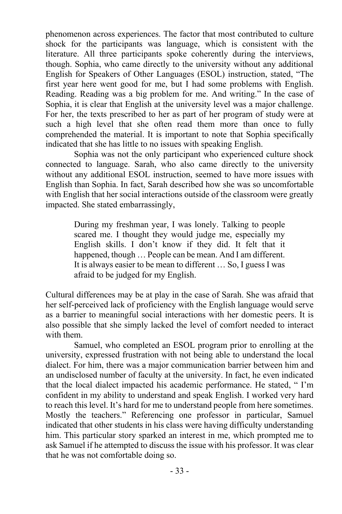phenomenon across experiences. The factor that most contributed to culture shock for the participants was language, which is consistent with the literature. All three participants spoke coherently during the interviews, though. Sophia, who came directly to the university without any additional English for Speakers of Other Languages (ESOL) instruction, stated, "The first year here went good for me, but I had some problems with English. Reading. Reading was a big problem for me. And writing." In the case of Sophia, it is clear that English at the university level was a major challenge. For her, the texts prescribed to her as part of her program of study were at such a high level that she often read them more than once to fully comprehended the material. It is important to note that Sophia specifically indicated that she has little to no issues with speaking English.

Sophia was not the only participant who experienced culture shock connected to language. Sarah, who also came directly to the university without any additional ESOL instruction, seemed to have more issues with English than Sophia. In fact, Sarah described how she was so uncomfortable with English that her social interactions outside of the classroom were greatly impacted. She stated embarrassingly,

> During my freshman year, I was lonely. Talking to people scared me. I thought they would judge me, especially my English skills. I don't know if they did. It felt that it happened, though ... People can be mean. And I am different. It is always easier to be mean to different … So, I guess I was afraid to be judged for my English.

Cultural differences may be at play in the case of Sarah. She was afraid that her self-perceived lack of proficiency with the English language would serve as a barrier to meaningful social interactions with her domestic peers. It is also possible that she simply lacked the level of comfort needed to interact with them.

Samuel, who completed an ESOL program prior to enrolling at the university, expressed frustration with not being able to understand the local dialect. For him, there was a major communication barrier between him and an undisclosed number of faculty at the university. In fact, he even indicated that the local dialect impacted his academic performance. He stated, " I'm confident in my ability to understand and speak English. I worked very hard to reach this level. It's hard for me to understand people from here sometimes. Mostly the teachers." Referencing one professor in particular, Samuel indicated that other students in his class were having difficulty understanding him. This particular story sparked an interest in me, which prompted me to ask Samuel if he attempted to discuss the issue with his professor. It was clear that he was not comfortable doing so.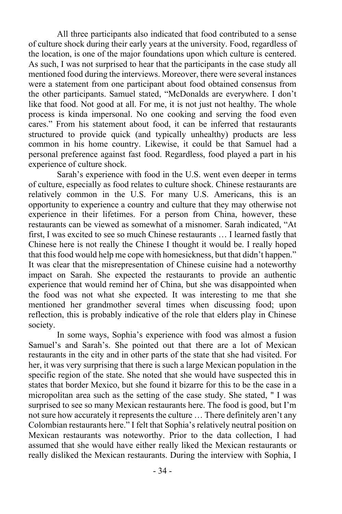All three participants also indicated that food contributed to a sense of culture shock during their early years at the university. Food, regardless of the location, is one of the major foundations upon which culture is centered. As such, I was not surprised to hear that the participants in the case study all mentioned food during the interviews. Moreover, there were several instances were a statement from one participant about food obtained consensus from the other participants. Samuel stated, "McDonalds are everywhere. I don't like that food. Not good at all. For me, it is not just not healthy. The whole process is kinda impersonal. No one cooking and serving the food even cares." From his statement about food, it can be inferred that restaurants structured to provide quick (and typically unhealthy) products are less common in his home country. Likewise, it could be that Samuel had a personal preference against fast food. Regardless, food played a part in his experience of culture shock.

Sarah's experience with food in the U.S. went even deeper in terms of culture, especially as food relates to culture shock. Chinese restaurants are relatively common in the U.S. For many U.S. Americans, this is an opportunity to experience a country and culture that they may otherwise not experience in their lifetimes. For a person from China, however, these restaurants can be viewed as somewhat of a misnomer. Sarah indicated, "At first, I was excited to see so much Chinese restaurants … I learned fastly that Chinese here is not really the Chinese I thought it would be. I really hoped that this food would help me cope with homesickness, but that didn't happen." It was clear that the misrepresentation of Chinese cuisine had a noteworthy impact on Sarah. She expected the restaurants to provide an authentic experience that would remind her of China, but she was disappointed when the food was not what she expected. It was interesting to me that she mentioned her grandmother several times when discussing food; upon reflection, this is probably indicative of the role that elders play in Chinese society.

In some ways, Sophia's experience with food was almost a fusion Samuel's and Sarah's. She pointed out that there are a lot of Mexican restaurants in the city and in other parts of the state that she had visited. For her, it was very surprising that there is such a large Mexican population in the specific region of the state. She noted that she would have suspected this in states that border Mexico, but she found it bizarre for this to be the case in a micropolitan area such as the setting of the case study. She stated, " I was surprised to see so many Mexican restaurants here. The food is good, but I'm not sure how accurately it represents the culture … There definitely aren't any Colombian restaurants here." I felt that Sophia's relatively neutral position on Mexican restaurants was noteworthy. Prior to the data collection, I had assumed that she would have either really liked the Mexican restaurants or really disliked the Mexican restaurants. During the interview with Sophia, I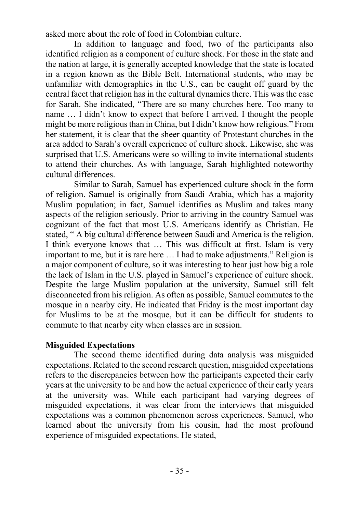asked more about the role of food in Colombian culture.

In addition to language and food, two of the participants also identified religion as a component of culture shock. For those in the state and the nation at large, it is generally accepted knowledge that the state is located in a region known as the Bible Belt. International students, who may be unfamiliar with demographics in the U.S., can be caught off guard by the central facet that religion has in the cultural dynamics there. This was the case for Sarah. She indicated, "There are so many churches here. Too many to name … I didn't know to expect that before I arrived. I thought the people might be more religious than in China, but I didn't know how religious." From her statement, it is clear that the sheer quantity of Protestant churches in the area added to Sarah's overall experience of culture shock. Likewise, she was surprised that U.S. Americans were so willing to invite international students to attend their churches. As with language, Sarah highlighted noteworthy cultural differences.

Similar to Sarah, Samuel has experienced culture shock in the form of religion. Samuel is originally from Saudi Arabia, which has a majority Muslim population; in fact, Samuel identifies as Muslim and takes many aspects of the religion seriously. Prior to arriving in the country Samuel was cognizant of the fact that most U.S. Americans identify as Christian. He stated, " A big cultural difference between Saudi and America is the religion. I think everyone knows that … This was difficult at first. Islam is very important to me, but it is rare here … I had to make adjustments." Religion is a major component of culture, so it was interesting to hear just how big a role the lack of Islam in the U.S. played in Samuel's experience of culture shock. Despite the large Muslim population at the university, Samuel still felt disconnected from his religion. As often as possible, Samuel commutes to the mosque in a nearby city. He indicated that Friday is the most important day for Muslims to be at the mosque, but it can be difficult for students to commute to that nearby city when classes are in session.

# **Misguided Expectations**

The second theme identified during data analysis was misguided expectations. Related to the second research question, misguided expectations refers to the discrepancies between how the participants expected their early years at the university to be and how the actual experience of their early years at the university was. While each participant had varying degrees of misguided expectations, it was clear from the interviews that misguided expectations was a common phenomenon across experiences. Samuel, who learned about the university from his cousin, had the most profound experience of misguided expectations. He stated,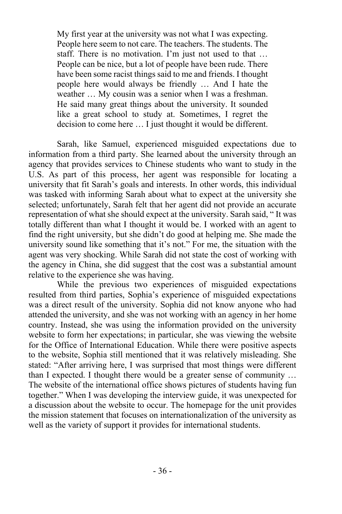My first year at the university was not what I was expecting. People here seem to not care. The teachers. The students. The staff. There is no motivation. I'm just not used to that … People can be nice, but a lot of people have been rude. There have been some racist things said to me and friends. I thought people here would always be friendly … And I hate the weather … My cousin was a senior when I was a freshman. He said many great things about the university. It sounded like a great school to study at. Sometimes, I regret the decision to come here … I just thought it would be different.

Sarah, like Samuel, experienced misguided expectations due to information from a third party. She learned about the university through an agency that provides services to Chinese students who want to study in the U.S. As part of this process, her agent was responsible for locating a university that fit Sarah's goals and interests. In other words, this individual was tasked with informing Sarah about what to expect at the university she selected; unfortunately, Sarah felt that her agent did not provide an accurate representation of what she should expect at the university. Sarah said, " It was totally different than what I thought it would be. I worked with an agent to find the right university, but she didn't do good at helping me. She made the university sound like something that it's not." For me, the situation with the agent was very shocking. While Sarah did not state the cost of working with the agency in China, she did suggest that the cost was a substantial amount relative to the experience she was having.

While the previous two experiences of misguided expectations resulted from third parties, Sophia's experience of misguided expectations was a direct result of the university. Sophia did not know anyone who had attended the university, and she was not working with an agency in her home country. Instead, she was using the information provided on the university website to form her expectations; in particular, she was viewing the website for the Office of International Education. While there were positive aspects to the website, Sophia still mentioned that it was relatively misleading. She stated: "After arriving here, I was surprised that most things were different than I expected. I thought there would be a greater sense of community … The website of the international office shows pictures of students having fun together." When I was developing the interview guide, it was unexpected for a discussion about the website to occur. The homepage for the unit provides the mission statement that focuses on internationalization of the university as well as the variety of support it provides for international students.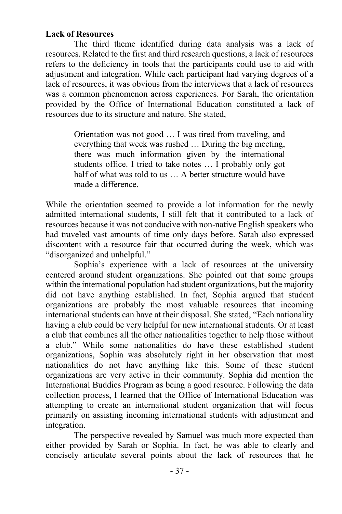# **Lack of Resources**

The third theme identified during data analysis was a lack of resources. Related to the first and third research questions, a lack of resources refers to the deficiency in tools that the participants could use to aid with adjustment and integration. While each participant had varying degrees of a lack of resources, it was obvious from the interviews that a lack of resources was a common phenomenon across experiences. For Sarah, the orientation provided by the Office of International Education constituted a lack of resources due to its structure and nature. She stated,

> Orientation was not good … I was tired from traveling, and everything that week was rushed … During the big meeting, there was much information given by the international students office. I tried to take notes … I probably only got half of what was told to us ... A better structure would have made a difference.

While the orientation seemed to provide a lot information for the newly admitted international students, I still felt that it contributed to a lack of resources because it was not conducive with non-native English speakers who had traveled vast amounts of time only days before. Sarah also expressed discontent with a resource fair that occurred during the week, which was "disorganized and unhelpful."

Sophia's experience with a lack of resources at the university centered around student organizations. She pointed out that some groups within the international population had student organizations, but the majority did not have anything established. In fact, Sophia argued that student organizations are probably the most valuable resources that incoming international students can have at their disposal. She stated, "Each nationality having a club could be very helpful for new international students. Or at least a club that combines all the other nationalities together to help those without a club." While some nationalities do have these established student organizations, Sophia was absolutely right in her observation that most nationalities do not have anything like this. Some of these student organizations are very active in their community. Sophia did mention the International Buddies Program as being a good resource. Following the data collection process, I learned that the Office of International Education was attempting to create an international student organization that will focus primarily on assisting incoming international students with adjustment and integration.

The perspective revealed by Samuel was much more expected than either provided by Sarah or Sophia. In fact, he was able to clearly and concisely articulate several points about the lack of resources that he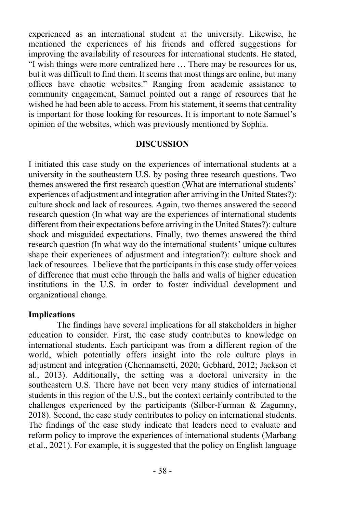experienced as an international student at the university. Likewise, he mentioned the experiences of his friends and offered suggestions for improving the availability of resources for international students. He stated, "I wish things were more centralized here … There may be resources for us, but it was difficult to find them. It seems that most things are online, but many offices have chaotic websites." Ranging from academic assistance to community engagement, Samuel pointed out a range of resources that he wished he had been able to access. From his statement, it seems that centrality is important for those looking for resources. It is important to note Samuel's opinion of the websites, which was previously mentioned by Sophia.

### **DISCUSSION**

I initiated this case study on the experiences of international students at a university in the southeastern U.S. by posing three research questions. Two themes answered the first research question (What are international students' experiences of adjustment and integration after arriving in the United States?): culture shock and lack of resources. Again, two themes answered the second research question (In what way are the experiences of international students different from their expectations before arriving in the United States?): culture shock and misguided expectations. Finally, two themes answered the third research question (In what way do the international students' unique cultures shape their experiences of adjustment and integration?): culture shock and lack of resources. I believe that the participants in this case study offer voices of difference that must echo through the halls and walls of higher education institutions in the U.S. in order to foster individual development and organizational change.

#### **Implications**

The findings have several implications for all stakeholders in higher education to consider. First, the case study contributes to knowledge on international students. Each participant was from a different region of the world, which potentially offers insight into the role culture plays in adjustment and integration (Chennamsetti, 2020; Gebhard, 2012; Jackson et al., 2013). Additionally, the setting was a doctoral university in the southeastern U.S. There have not been very many studies of international students in this region of the U.S., but the context certainly contributed to the challenges experienced by the participants (Silber-Furman & Zagumny, 2018). Second, the case study contributes to policy on international students. The findings of the case study indicate that leaders need to evaluate and reform policy to improve the experiences of international students (Marbang et al., 2021). For example, it is suggested that the policy on English language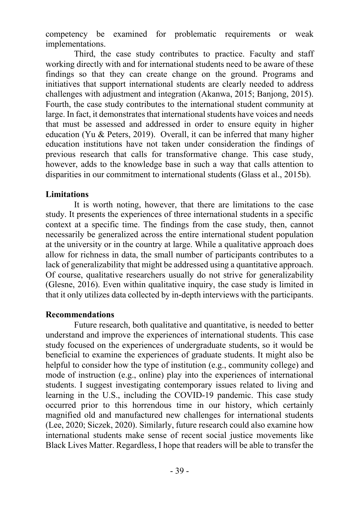competency be examined for problematic requirements or weak implementations.

Third, the case study contributes to practice. Faculty and staff working directly with and for international students need to be aware of these findings so that they can create change on the ground. Programs and initiatives that support international students are clearly needed to address challenges with adjustment and integration (Akanwa, 2015; Banjong, 2015). Fourth, the case study contributes to the international student community at large. In fact, it demonstrates that international students have voices and needs that must be assessed and addressed in order to ensure equity in higher education (Yu & Peters, 2019). Overall, it can be inferred that many higher education institutions have not taken under consideration the findings of previous research that calls for transformative change. This case study, however, adds to the knowledge base in such a way that calls attention to disparities in our commitment to international students (Glass et al., 2015b).

### **Limitations**

It is worth noting, however, that there are limitations to the case study. It presents the experiences of three international students in a specific context at a specific time. The findings from the case study, then, cannot necessarily be generalized across the entire international student population at the university or in the country at large. While a qualitative approach does allow for richness in data, the small number of participants contributes to a lack of generalizability that might be addressed using a quantitative approach. Of course, qualitative researchers usually do not strive for generalizability (Glesne, 2016). Even within qualitative inquiry, the case study is limited in that it only utilizes data collected by in-depth interviews with the participants.

### **Recommendations**

Future research, both qualitative and quantitative, is needed to better understand and improve the experiences of international students. This case study focused on the experiences of undergraduate students, so it would be beneficial to examine the experiences of graduate students. It might also be helpful to consider how the type of institution (e.g., community college) and mode of instruction (e.g., online) play into the experiences of international students. I suggest investigating contemporary issues related to living and learning in the U.S., including the COVID-19 pandemic. This case study occurred prior to this horrendous time in our history, which certainly magnified old and manufactured new challenges for international students (Lee, 2020; Siczek, 2020). Similarly, future research could also examine how international students make sense of recent social justice movements like Black Lives Matter. Regardless, I hope that readers will be able to transfer the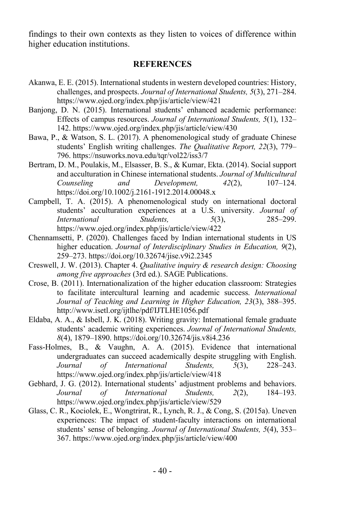findings to their own contexts as they listen to voices of difference within higher education institutions.

#### **REFERENCES**

- Akanwa, E. E. (2015). International students in western developed countries: History, challenges, and prospects. *Journal of International Students, 5*(3), 271–284. https://www.ojed.org/index.php/jis/article/view/421
- Banjong, D. N. (2015). International students' enhanced academic performance: Effects of campus resources. *Journal of International Students, 5*(1), 132– 142. https://www.ojed.org/index.php/jis/article/view/430
- Bawa, P., & Watson, S. L. (2017). A phenomenological study of graduate Chinese students' English writing challenges. *The Qualitative Report, 22*(3), 779– 796. https://nsuworks.nova.edu/tqr/vol22/iss3/7
- Bertram, D. M., Poulakis, M., Elsasser, B. S., & Kumar, Ekta. (2014). Social support and acculturation in Chinese international students. *Journal of Multicultural Counseling and Development, 42*(2), 107–124. https://doi.org/10.1002/j.2161-1912.2014.00048.x
- Campbell, T. A. (2015). A phenomenological study on international doctoral students' acculturation experiences at a U.S. university. *Journal of International Students, 5*(3), 285–299. https://www.ojed.org/index.php/jis/article/view/422
- Chennamsetti, P. (2020). Challenges faced by Indian international students in US higher education. *Journal of Interdisciplinary Studies in Education, 9*(2), 259–273. https://doi.org/10.32674/jise.v9i2.2345
- Creswell, J. W. (2013). Chapter 4. *Qualitative inquiry & research design: Choosing among five approaches* (3rd ed.). SAGE Publications.
- Crose, B. (2011). Internationalization of the higher education classroom: Strategies to facilitate intercultural learning and academic success. *International Journal of Teaching and Learning in Higher Education, 23*(3), 388–395. http://www.isetl.org/ijtlhe/pdf/IJTLHE1056.pdf
- Eldaba, A. A., & Isbell, J. K. (2018). Writing gravity: International female graduate students' academic writing experiences. *Journal of International Students, 8*(4), 1879–1890. https://doi.org/10.32674/jis.v8i4.236
- Fass-Holmes, B., & Vaughn, A. A. (2015). Evidence that international undergraduates can succeed academically despite struggling with English. *Journal of International Students, 5*(3), 228–243. https://www.ojed.org/index.php/jis/article/view/418
- Gebhard, J. G. (2012). International students' adjustment problems and behaviors. *Journal of International Students, 2*(2), 184–193. https://www.ojed.org/index.php/jis/article/view/529
- Glass, C. R., Kociolek, E., Wongtrirat, R., Lynch, R. J., & Cong, S. (2015a). Uneven experiences: The impact of student-faculty interactions on international students' sense of belonging. *Journal of International Students, 5*(4), 353– 367. https://www.ojed.org/index.php/jis/article/view/400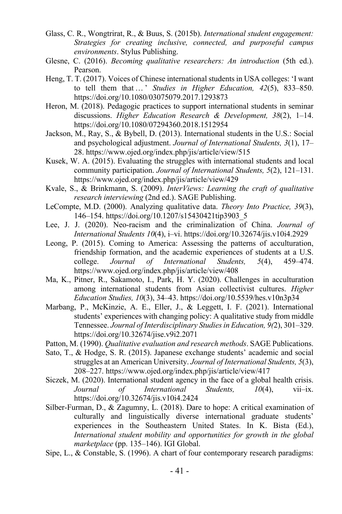- Glass, C. R., Wongtrirat, R., & Buus, S. (2015b). *International student engagement: Strategies for creating inclusive, connected, and purposeful campus environments*. Stylus Publishing.
- Glesne, C. (2016). *Becoming qualitative researchers: An introduction* (5th ed.). Pearson.
- Heng, T. T. (2017). Voices of Chinese international students in USA colleges: 'I want to tell them that … ' *Studies in Higher Education, 42*(5), 833–850. https://doi.org/10.1080/03075079.2017.1293873
- Heron, M. (2018). Pedagogic practices to support international students in seminar discussions. *Higher Education Research & Development, 38*(2), 1–14. https://doi.org/10.1080/07294360.2018.1512954
- Jackson, M., Ray, S., & Bybell, D. (2013). International students in the U.S.: Social and psychological adjustment. *Journal of International Students, 3*(1), 17– 28. https://www.ojed.org/index.php/jis/article/view/515
- Kusek, W. A. (2015). Evaluating the struggles with international students and local community participation. *Journal of International Students, 5*(2), 121–131. https://www.ojed.org/index.php/jis/article/view/429
- Kvale, S., & Brinkmann, S. (2009). *InterViews: Learning the craft of qualitative research interviewing* (2nd ed.). SAGE Publishing.
- LeCompte, M.D. (2000). Analyzing qualitative data. *Theory Into Practice, 39*(3), 146–154. https://doi.org/10.1207/s15430421tip3903\_5
- Lee, J. J. (2020). Neo-racism and the criminalization of China. *Journal of International Students 10*(4), i–vi. https://doi.org/10.32674/jis.v10i4.2929
- Leong, P. (2015). Coming to America: Assessing the patterns of acculturation, friendship formation, and the academic experiences of students at a U.S. college. *Journal of International Students, 5*(4), 459–474. https://www.ojed.org/index.php/jis/article/view/408
- Ma, K., Pitner, R., Sakamoto, I., Park, H. Y. (2020). Challenges in acculturation among international students from Asian collectivist cultures. *Higher Education Studies, 10*(3), 34–43. https://doi.org/10.5539/hes.v10n3p34
- Marbang, P., McKinzie, A. E., Eller, J., & Leggett, I. F. (2021). International students' experiences with changing policy: A qualitative study from middle Tennessee. *Journal of Interdisciplinary Studies in Education, 9(*2), 301–329. https://doi.org/10.32674/jise.v9i2.2071
- Patton, M. (1990). *Qualitative evaluation and research methods*. SAGE Publications.
- Sato, T., & Hodge, S. R. (2015). Japanese exchange students' academic and social struggles at an American University. *Journal of International Students, 5*(3), 208–227. https://www.ojed.org/index.php/jis/article/view/417
- Siczek, M. (2020). International student agency in the face of a global health crisis. *Journal of International Students, 10*(4), vii–ix. https://doi.org/10.32674/jis.v10i4.2424
- Silber-Furman, D., & Zagumny, L. (2018). Dare to hope: A critical examination of culturally and linguistically diverse international graduate students' experiences in the Southeastern United States. In K. Bista (Ed.), *International student mobility and opportunities for growth in the global marketplace* (pp. 135–146). IGI Global.
- Sipe, L., & Constable, S. (1996). A chart of four contemporary research paradigms: